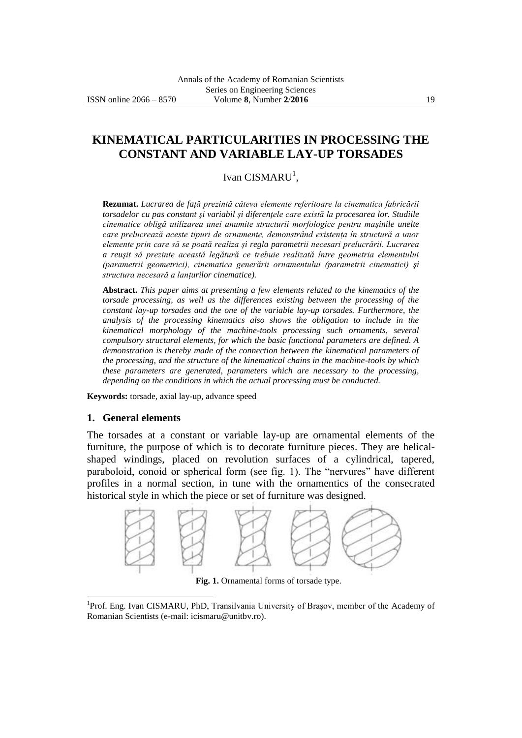# **KINEMATICAL PARTICULARITIES IN PROCESSING THE CONSTANT AND VARIABLE LAY-UP TORSADES**

## Ivan CISMARU<sup>1</sup>,

**Rezumat.** *Lucrarea de faţă prezintă câteva elemente referitoare la cinematica fabricării torsadelor cu pas constant şi variabil şi diferenţele care există la procesarea lor. Studiile cinematice obligă utilizarea unei anumite structurii morfologice pentru maşinile unelte care prelucrează aceste tipuri de ornamente, demonstrând existenţa în structură a unor elemente prin care să se poată realiza şi regla parametrii necesari prelucrării. Lucrarea a reuşit să prezinte această legătură ce trebuie realizată între geometria elementului (parametrii geometrici), cinematica generării ornamentului (parametrii cinematici) şi structura necesară a lanţurilor cinematice).*

**Abstract.** *This paper aims at presenting a few elements related to the kinematics of the torsade processing, as well as the differences existing between the processing of the constant lay-up torsades and the one of the variable lay-up torsades. Furthermore, the analysis of the processing kinematics also shows the obligation to include in the kinematical morphology of the machine-tools processing such ornaments, several compulsory structural elements, for which the basic functional parameters are defined. A demonstration is thereby made of the connection between the kinematical parameters of the processing, and the structure of the kinematical chains in the machine-tools by which these parameters are generated, parameters which are necessary to the processing, depending on the conditions in which the actual processing must be conducted.*

**Keywords:** torsade, axial lay-up, advance speed

### **1. General elements**

 $\overline{a}$ 

The torsades at a constant or variable lay-up are ornamental elements of the furniture, the purpose of which is to decorate furniture pieces. They are helicalshaped windings, placed on revolution surfaces of a cylindrical, tapered, paraboloid, conoid or spherical form (see fig. 1). The "nervures" have different profiles in a normal section, in tune with the ornamentics of the consecrated historical style in which the piece or set of furniture was designed.



**Fig. 1.** Ornamental forms of torsade type.

<sup>&</sup>lt;sup>1</sup>Prof. Eng. Ivan CISMARU, PhD, Transilvania University of Brașov, member of the Academy of Romanian Scientists (e-mail: [icismaru@unitbv.ro\)](mailto:icismaru@unitbv.ro).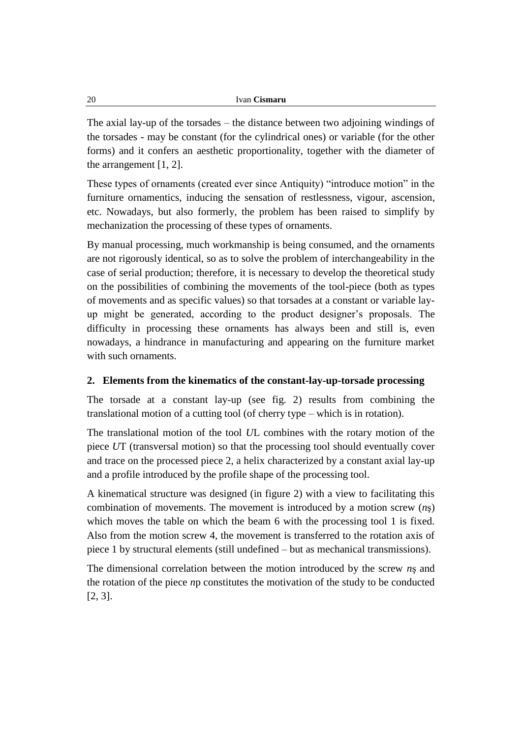The axial lay-up of the torsades – the distance between two adjoining windings of the torsades - may be constant (for the cylindrical ones) or variable (for the other forms) and it confers an aesthetic proportionality, together with the diameter of the arrangement [1, 2].

These types of ornaments (created ever since Antiquity) "introduce motion" in the furniture ornamentics, inducing the sensation of restlessness, vigour, ascension, etc. Nowadays, but also formerly, the problem has been raised to simplify by mechanization the processing of these types of ornaments.

By manual processing, much workmanship is being consumed, and the ornaments are not rigorously identical, so as to solve the problem of interchangeability in the case of serial production; therefore, it is necessary to develop the theoretical study on the possibilities of combining the movements of the tool-piece (both as types of movements and as specific values) so that torsades at a constant or variable layup might be generated, according to the product designer's proposals. The difficulty in processing these ornaments has always been and still is, even nowadays, a hindrance in manufacturing and appearing on the furniture market with such ornaments.

### **2. Elements from the kinematics of the constant-lay-up-torsade processing**

The torsade at a constant lay-up (see fig. 2) results from combining the translational motion of a cutting tool (of cherry type – which is in rotation).

The translational motion of the tool *U*L combines with the rotary motion of the piece *U*T (transversal motion) so that the processing tool should eventually cover and trace on the processed piece 2, a helix characterized by a constant axial lay-up and a profile introduced by the profile shape of the processing tool.

A kinematical structure was designed (in figure 2) with a view to facilitating this combination of movements. The movement is introduced by a motion screw (*n*ş) which moves the table on which the beam 6 with the processing tool 1 is fixed. Also from the motion screw 4, the movement is transferred to the rotation axis of piece 1 by structural elements (still undefined – but as mechanical transmissions).

The dimensional correlation between the motion introduced by the screw *n*ş and the rotation of the piece *n*p constitutes the motivation of the study to be conducted [2, 3].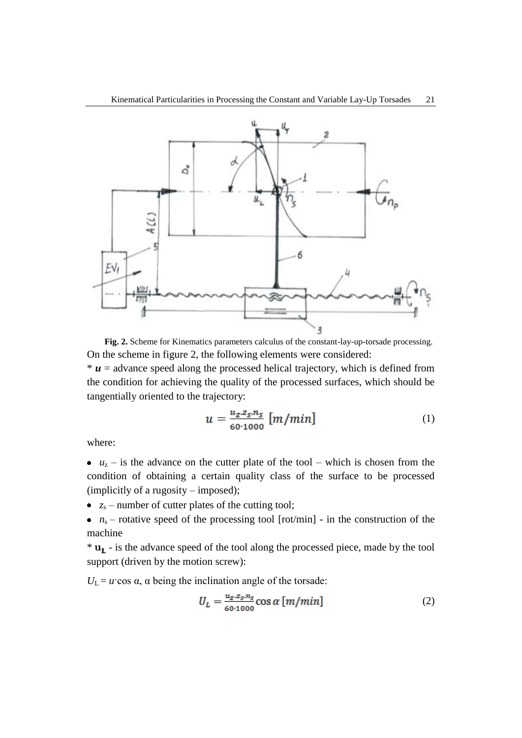

**Fig. 2.** Scheme for Kinematics parameters calculus of the constant-lay-up-torsade processing. On the scheme in figure 2, the following elements were considered:

 $* u =$  advance speed along the processed helical trajectory, which is defined from the condition for achieving the quality of the processed surfaces, which should be tangentially oriented to the trajectory:

$$
u = \frac{u_z \cdot z_s \cdot n_S}{60 \cdot 1000} \left[ m/min \right] \tag{1}
$$

where:

•  $u_z$  – is the advance on the cutter plate of the tool – which is chosen from the condition of obtaining a certain quality class of the surface to be processed (implicitly of a rugosity – imposed);

- $z_s$  number of cutter plates of the cutting tool;
- $n_s$  rotative speed of the processing tool [rot/min] in the construction of the machine

 $*$ **u**<sub>L</sub> - is the advance speed of the tool along the processed piece, made by the tool support (driven by the motion screw):

 $U_L = u \cos \alpha$ ,  $\alpha$  being the inclination angle of the torsade:

$$
U_L = \frac{u_z \cdot z_s \cdot n_S}{60 \cdot 1000} \cos \alpha \left[ m/min \right]
$$
 (2)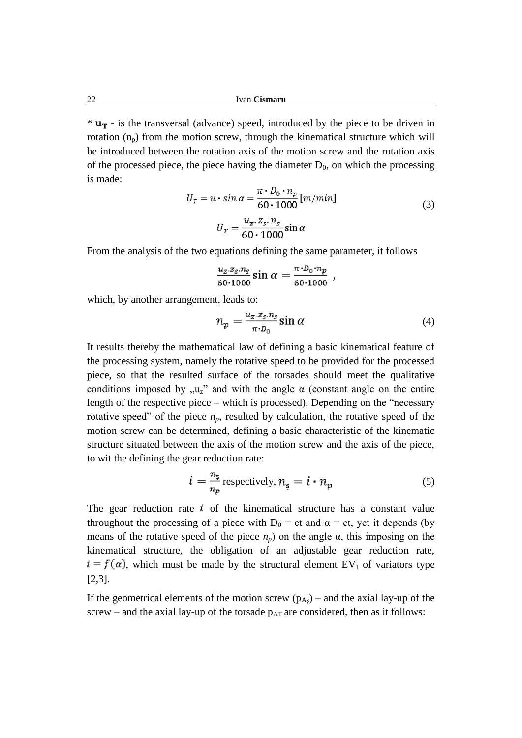$*$   $\mathbf{u}_T$  - is the transversal (advance) speed, introduced by the piece to be driven in rotation  $(n_p)$  from the motion screw, through the kinematical structure which will be introduced between the rotation axis of the motion screw and the rotation axis of the processed piece, the piece having the diameter  $D_0$ , on which the processing is made:

$$
U_T = u \cdot \sin \alpha = \frac{\pi \cdot D_0 \cdot n_p}{60 \cdot 1000} [m/min]
$$
  

$$
U_T = \frac{u_z \cdot z_s \cdot n_s}{60 \cdot 1000} \sin \alpha
$$
 (3)

From the analysis of the two equations defining the same parameter, it follows

$$
\frac{u_z \, z_s \, n_s}{60 \cdot 1000} \sin \alpha = \frac{\pi \cdot D_0 \cdot n_p}{60 \cdot 1000} \; ,
$$

which, by another arrangement, leads to:

$$
n_p = \frac{u_z \cdot z_s \cdot n_s}{\pi \cdot D_0} \sin \alpha \tag{4}
$$

It results thereby the mathematical law of defining a basic kinematical feature of the processing system, namely the rotative speed to be provided for the processed piece, so that the resulted surface of the torsades should meet the qualitative conditions imposed by  $\mu_z$ " and with the angle  $\alpha$  (constant angle on the entire length of the respective piece – which is processed). Depending on the "necessary rotative speed" of the piece  $n_p$ , resulted by calculation, the rotative speed of the motion screw can be determined, defining a basic characteristic of the kinematic structure situated between the axis of the motion screw and the axis of the piece, to wit the defining the gear reduction rate:

$$
i = \frac{n_{\rm s}}{n_{\rm p}} \text{ respectively}, n_{\rm s} = i \cdot n_{\rm p} \tag{5}
$$

The gear reduction rate  $\vec{i}$  of the kinematical structure has a constant value throughout the processing of a piece with  $D_0 = ct$  and  $\alpha = ct$ , yet it depends (by means of the rotative speed of the piece  $n_p$ ) on the angle  $\alpha$ , this imposing on the kinematical structure, the obligation of an adjustable gear reduction rate,  $i = f(\alpha)$ , which must be made by the structural element EV<sub>1</sub> of variators type [2,3].

If the geometrical elements of the motion screw  $(p_{As})$  – and the axial lay-up of the screw – and the axial lay-up of the torsade  $p_{AT}$  are considered, then as it follows: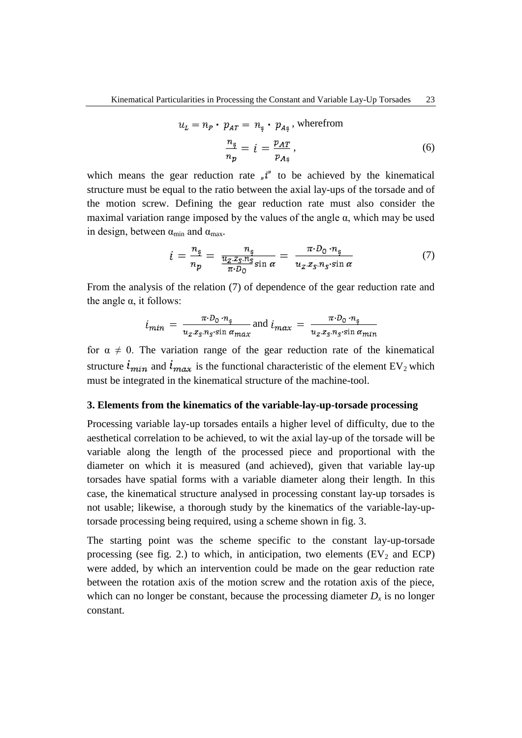$$
u_L = n_P \cdot p_{AT} = n_{\rm s} \cdot p_{A\rm s}, \text{ where from}
$$

$$
\frac{n_{\rm s}}{n_P} = i = \frac{p_{AT}}{p_{As}}, \tag{6}
$$

which means the gear reduction rate  $\psi^{t}$  to be achieved by the kinematical structure must be equal to the ratio between the axial lay-ups of the torsade and of the motion screw. Defining the gear reduction rate must also consider the maximal variation range imposed by the values of the angle  $\alpha$ , which may be used in design, between  $\alpha_{\min}$  and  $\alpha_{\max}$ .

$$
i = \frac{n_{\rm s}}{n_p} = \frac{n_{\rm s}}{\frac{u_Z \cdot z_S n_S}{\pi \cdot D_0} \sin \alpha} = \frac{\pi \cdot D_0 \cdot n_{\rm s}}{u_Z \cdot z_S n_S \cdot \sin \alpha} \tag{7}
$$

From the analysis of the relation (7) of dependence of the gear reduction rate and the angle  $α$ , it follows:

$$
i_{min} = \frac{\pi \cdot D_0 \cdot n_{\rm s}}{u_z \cdot z_{\rm s} \cdot n_{\rm s} \cdot \sin \alpha_{\rm max}} \text{ and } i_{max} = \frac{\pi \cdot D_0 \cdot n_{\rm s}}{u_z \cdot z_{\rm s} \cdot n_{\rm s} \cdot \sin \alpha_{\rm min}}
$$

for  $\alpha \neq 0$ . The variation range of the gear reduction rate of the kinematical structure  $i_{min}$  and  $i_{max}$  is the functional characteristic of the element EV<sub>2</sub> which must be integrated in the kinematical structure of the machine-tool.

#### **3. Elements from the kinematics of the variable-lay-up-torsade processing**

Processing variable lay-up torsades entails a higher level of difficulty, due to the aesthetical correlation to be achieved, to wit the axial lay-up of the torsade will be variable along the length of the processed piece and proportional with the diameter on which it is measured (and achieved), given that variable lay-up torsades have spatial forms with a variable diameter along their length. In this case, the kinematical structure analysed in processing constant lay-up torsades is not usable; likewise, a thorough study by the kinematics of the variable-lay-uptorsade processing being required, using a scheme shown in fig. 3.

The starting point was the scheme specific to the constant lay-up-torsade processing (see fig. 2.) to which, in anticipation, two elements  $(EV_2$  and  $ECP$ ) were added, by which an intervention could be made on the gear reduction rate between the rotation axis of the motion screw and the rotation axis of the piece, which can no longer be constant, because the processing diameter  $D_x$  is no longer constant.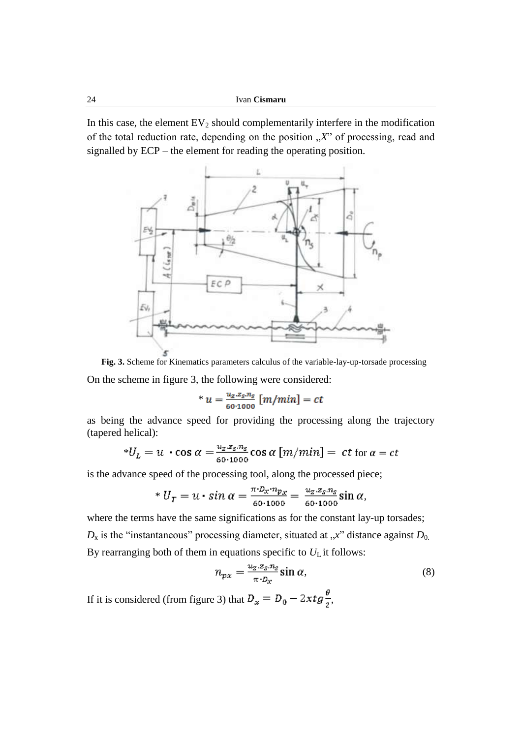In this case, the element  $EV_2$  should complementarily interfere in the modification of the total reduction rate, depending on the position "X" of processing, read and signalled by ECP – the element for reading the operating position.



**Fig. 3.** Scheme for Kinematics parameters calculus of the variable-lay-up-torsade processing On the scheme in figure 3, the following were considered:

\* 
$$
u = \frac{u_z \cdot z_s \cdot n_s}{60 \cdot 1000} [m/min] = ct
$$

as being the advance speed for providing the processing along the trajectory (tapered helical):

\*
$$
U_L = u \cdot \cos \alpha = \frac{u_Z \cdot z_S \cdot n_S}{60 \cdot 1000} \cos \alpha \left[ m/min \right] = ct \text{ for } \alpha = ct
$$

is the advance speed of the processing tool, along the processed piece;

\* 
$$
U_T = u \cdot \sin \alpha = \frac{\pi \cdot D_x \cdot n_{p_x}}{60 \cdot 1000} = \frac{u_z \cdot z_s \cdot n_s}{60 \cdot 1000} \sin \alpha,
$$

where the terms have the same significations as for the constant lay-up torsades;  $D_x$  is the "instantaneous" processing diameter, situated at  $x$ " distance against  $D_0$ . By rearranging both of them in equations specific to  $U<sub>L</sub>$  it follows:

$$
n_{px} = \frac{u_z \cdot z_s \cdot n_s}{\pi \cdot D_x} \sin \alpha,\tag{8}
$$

If it is considered (from figure 3) that  $D_x = D_0 - 2xtg \frac{\theta}{2}$ ,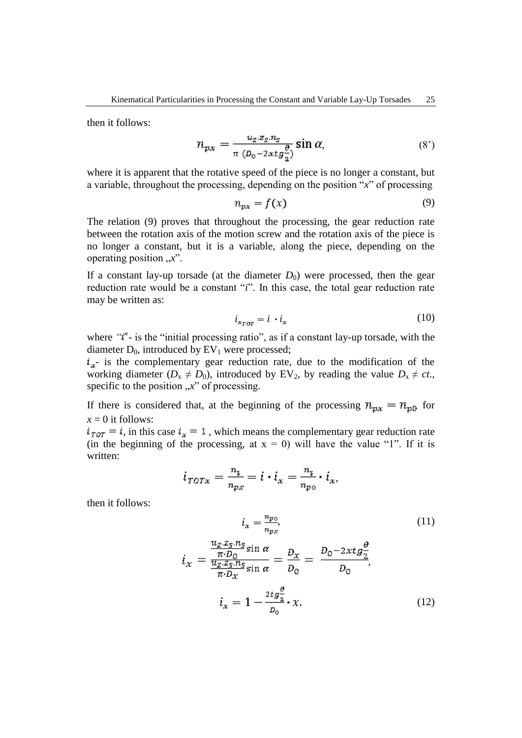then it follows:

$$
n_{px} = \frac{u_z \cdot z_s \cdot n_s}{\pi \left( D_0 - 2 \times t g \frac{\theta}{2} \right)} \sin \alpha, \tag{8'}
$$

where it is apparent that the rotative speed of the piece is no longer a constant, but a variable, throughout the processing, depending on the position "*x*" of processing

$$
n_{px} = f(x) \tag{9}
$$

The relation (9) proves that throughout the processing, the gear reduction rate between the rotation axis of the motion screw and the rotation axis of the piece is no longer a constant, but it is a variable, along the piece, depending on the operating position  $, x$ ".

If a constant lay-up torsade (at the diameter  $D_0$ ) were processed, then the gear reduction rate would be a constant "*i*". In this case, the total gear reduction rate may be written as:

$$
i_{x \tau \sigma \tau} = i \cdot i_x \tag{10}
$$

where "*i*"- is the "initial processing ratio", as if a constant lay-up torsade, with the diameter  $D_0$ , introduced by  $EV_1$  were processed;

 $i_x$ - is the complementary gear reduction rate, due to the modification of the working diameter ( $D_x \neq D_0$ ), introduced by EV<sub>2</sub>, by reading the value  $D_x \neq ct$ . specific to the position "*x*" of processing.

If there is considered that, at the beginning of the processing  $n_{px} = n_{p0}$  for  $x = 0$  it follows:

 $i_{\tau \circ \tau} = i$ , in this case  $i_x = 1$ , which means the complementary gear reduction rate (in the beginning of the processing, at  $x = 0$ ) will have the value "1". If it is written:

$$
i_{\text{TOTx}} = \frac{n_{\overline{5}}}{n_{\text{px}}} = i \cdot i_x = \frac{n_{\overline{5}}}{n_{\text{po}}} \cdot i_x,
$$

then it follows:

$$
i_x = \frac{n_{po}}{n_{px}},\tag{11}
$$
\n
$$
u_z \, z_{5} \, n_{5-1} \, z_{1} \, z_{2} \, z_{3} \, z_{3} \, z_{4} \, z_{5} \, z_{6} \, z_{7} \, z_{8} \, z_{9} \, z_{10} \, z_{11} \, z_{12} \, z_{13} \, z_{14} \, z_{15} \, z_{16} \, z_{17} \, z_{18} \, z_{19} \, z_{10} \, z_{11} \, z_{12} \, z_{13} \, z_{14} \, z_{15} \, z_{16} \, z_{17} \, z_{18} \, z_{19} \, z_{10} \, z_{11} \, z_{12} \, z_{13} \, z_{14} \, z_{15} \, z_{16} \, z_{17} \, z_{18} \, z_{19} \, z_{10} \, z_{11} \, z_{12} \, z_{13} \, z_{14} \, z_{15} \, z_{16} \, z_{17} \, z_{18} \, z_{19} \, z_{10} \, z_{11} \, z_{12} \, z_{13} \, z_{14} \, z_{15} \, z_{16} \, z_{17} \, z_{18} \, z_{19} \, z_{10} \, z_{11} \, z_{12} \, z_{13} \, z_{14} \, z_{15} \, z_{17} \, z_{18} \, z_{19} \, z_{10} \, z_{11} \, z_{12} \, z_{13} \, z_{14} \, z_{15} \, z_{17} \, z_{18} \, z_{19} \, z_{10} \, z_{11} \, z_{12} \, z_{13} \, z_{14} \, z_{15} \, z_{17} \, z_{18} \, z_{19} \, z_{10} \, z_{11} \, z_{12} \, z_{13} \, z_{14} \, z_{15} \, z_{17} \, z_{18} \, z_{19} \, z_{10} \, z_{11} \, z_{12} \, z_{13} \, z_{14} \, z_{15} \, z_{17} \, z
$$

$$
i_x = \frac{\frac{2}{\pi \cdot D_0} \sin \alpha}{\frac{u_z \cdot x_s \cdot n_s}{\pi \cdot D_x} \sin \alpha} = \frac{D_x}{D_0} = \frac{D_0 - 2xtg^2}{D_0},
$$
  

$$
i_x = 1 - \frac{2tg^2}{D_0} \cdot x,
$$
 (12)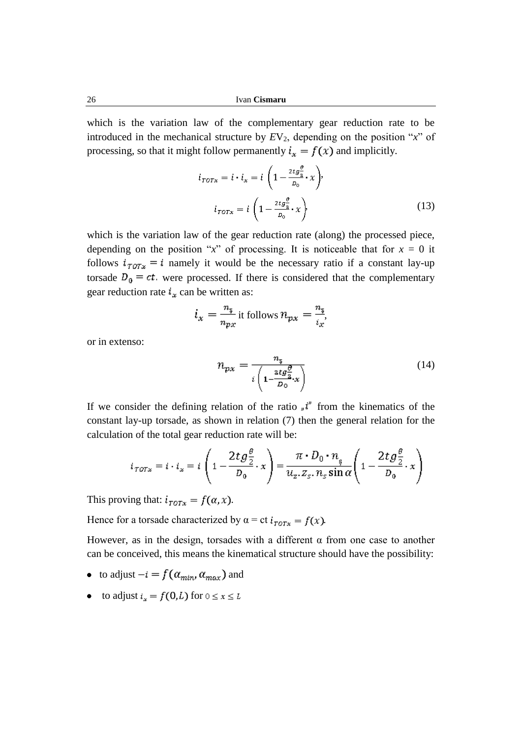which is the variation law of the complementary gear reduction rate to be introduced in the mechanical structure by  $EV_2$ , depending on the position " $x$ " of processing, so that it might follow permanently  $i_x = f(x)$  and implicitly.

$$
i_{\text{TOTx}} = i \cdot i_x = i \left( 1 - \frac{2tg_{\frac{\theta}{2}}^{\frac{\theta}{2}}}{p_0} \cdot x \right),
$$

$$
i_{\text{TOTx}} = i \left( 1 - \frac{2tg_{\frac{\theta}{2}}^{\frac{\theta}{2}}}{p_0} \cdot x \right),
$$
(13)

which is the variation law of the gear reduction rate (along) the processed piece, depending on the position " $x$ " of processing. It is noticeable that for  $x = 0$  it follows  $i_{\tau \circ \tau x} = i$  namely it would be the necessary ratio if a constant lay-up torsade  $D_0 = ct$ , were processed. If there is considered that the complementary gear reduction rate  $t_x$  can be written as:

$$
i_x = \frac{n_{\overline{5}}}{n_{px}} \text{ it follows } n_{px} = \frac{n_{\overline{5}}}{i_x},
$$

or in extenso:

$$
n_{px} = \frac{n_{\mathfrak{p}}}{i \left(1 - \frac{\text{arg}\frac{\theta}{2}}{D_0} \cdot x\right)}\tag{14}
$$

If we consider the defining relation of the ratio  $\psi^*$  from the kinematics of the constant lay-up torsade, as shown in relation (7) then the general relation for the calculation of the total gear reduction rate will be:

$$
i_{\text{TOTx}} = i \cdot i_x = i \left( 1 - \frac{2t g \frac{\theta}{2}}{D_0} \cdot x \right) = \frac{\pi \cdot D_0 \cdot n_{\text{s}}}{u_{\text{z}} \cdot z_{\text{s}} \cdot n_{\text{s}} \sin \alpha} \left( 1 - \frac{2t g \frac{\theta}{2}}{D_0} \cdot x \right)
$$

This proving that:  $i_{\text{TOTx}} = f(\alpha, x)$ .

Hence for a torsade characterized by  $\alpha = ct i_{TOTx} = f(x)$ .

However, as in the design, torsades with a different  $\alpha$  from one case to another can be conceived, this means the kinematical structure should have the possibility:

- to adjust  $-i = f(\alpha_{min}, \alpha_{max})$  and
- to adjust  $i_x = f(0,L)$  for  $0 \le x \le L$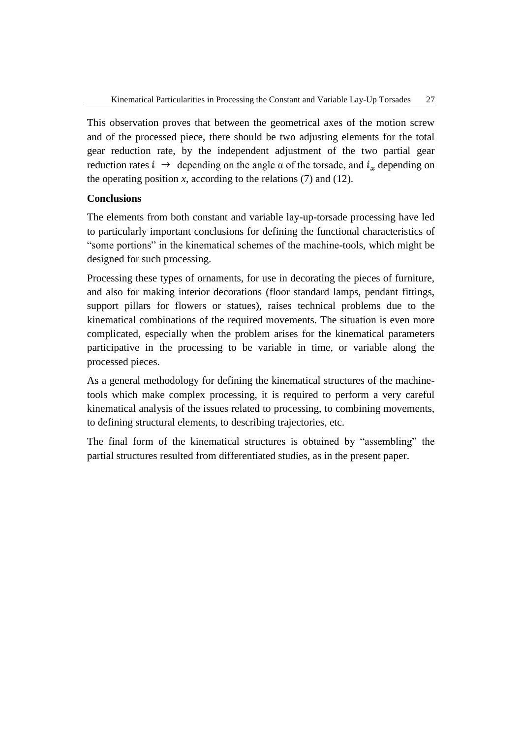This observation proves that between the geometrical axes of the motion screw and of the processed piece, there should be two adjusting elements for the total gear reduction rate, by the independent adjustment of the two partial gear reduction rates  $i \rightarrow$  depending on the angle  $\alpha$  of the torsade, and  $i_{\alpha}$  depending on the operating position  $x$ , according to the relations  $(7)$  and  $(12)$ .

## **Conclusions**

The elements from both constant and variable lay-up-torsade processing have led to particularly important conclusions for defining the functional characteristics of "some portions" in the kinematical schemes of the machine-tools, which might be designed for such processing.

Processing these types of ornaments, for use in decorating the pieces of furniture, and also for making interior decorations (floor standard lamps, pendant fittings, support pillars for flowers or statues), raises technical problems due to the kinematical combinations of the required movements. The situation is even more complicated, especially when the problem arises for the kinematical parameters participative in the processing to be variable in time, or variable along the processed pieces.

As a general methodology for defining the kinematical structures of the machinetools which make complex processing, it is required to perform a very careful kinematical analysis of the issues related to processing, to combining movements, to defining structural elements, to describing trajectories, etc.

The final form of the kinematical structures is obtained by "assembling" the partial structures resulted from differentiated studies, as in the present paper.